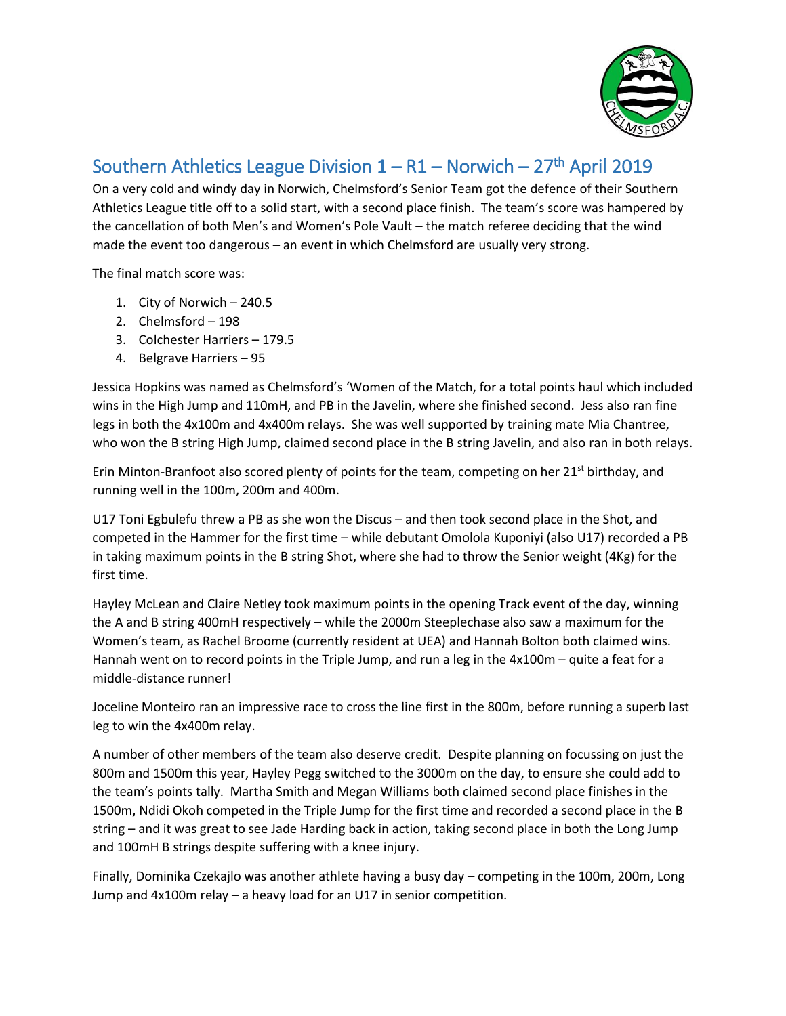

## Southern Athletics League Division  $1 - R1 -$  Norwich  $-27$ <sup>th</sup> April 2019

On a very cold and windy day in Norwich, Chelmsford's Senior Team got the defence of their Southern Athletics League title off to a solid start, with a second place finish. The team's score was hampered by the cancellation of both Men's and Women's Pole Vault – the match referee deciding that the wind made the event too dangerous – an event in which Chelmsford are usually very strong.

The final match score was:

- 1. City of Norwich 240.5
- 2. Chelmsford 198
- 3. Colchester Harriers 179.5
- 4. Belgrave Harriers 95

Jessica Hopkins was named as Chelmsford's 'Women of the Match, for a total points haul which included wins in the High Jump and 110mH, and PB in the Javelin, where she finished second. Jess also ran fine legs in both the 4x100m and 4x400m relays. She was well supported by training mate Mia Chantree, who won the B string High Jump, claimed second place in the B string Javelin, and also ran in both relays.

Erin Minton-Branfoot also scored plenty of points for the team, competing on her  $21<sup>st</sup>$  birthday, and running well in the 100m, 200m and 400m.

U17 Toni Egbulefu threw a PB as she won the Discus – and then took second place in the Shot, and competed in the Hammer for the first time – while debutant Omolola Kuponiyi (also U17) recorded a PB in taking maximum points in the B string Shot, where she had to throw the Senior weight (4Kg) for the first time.

Hayley McLean and Claire Netley took maximum points in the opening Track event of the day, winning the A and B string 400mH respectively – while the 2000m Steeplechase also saw a maximum for the Women's team, as Rachel Broome (currently resident at UEA) and Hannah Bolton both claimed wins. Hannah went on to record points in the Triple Jump, and run a leg in the 4x100m – quite a feat for a middle-distance runner!

Joceline Monteiro ran an impressive race to cross the line first in the 800m, before running a superb last leg to win the 4x400m relay.

A number of other members of the team also deserve credit. Despite planning on focussing on just the 800m and 1500m this year, Hayley Pegg switched to the 3000m on the day, to ensure she could add to the team's points tally. Martha Smith and Megan Williams both claimed second place finishes in the 1500m, Ndidi Okoh competed in the Triple Jump for the first time and recorded a second place in the B string – and it was great to see Jade Harding back in action, taking second place in both the Long Jump and 100mH B strings despite suffering with a knee injury.

Finally, Dominika Czekajlo was another athlete having a busy day – competing in the 100m, 200m, Long Jump and 4x100m relay – a heavy load for an U17 in senior competition.